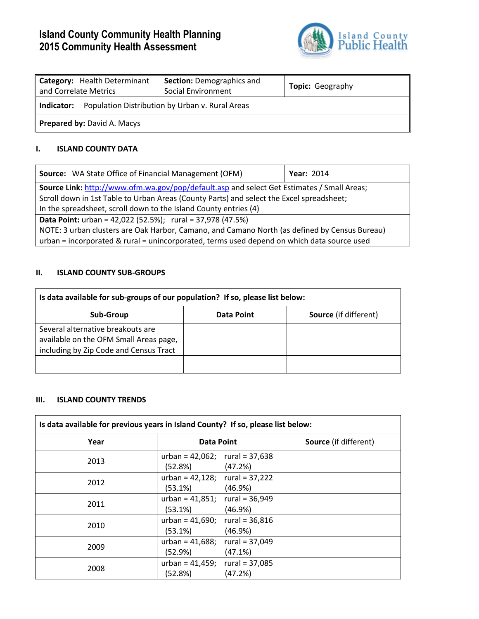# **Island County Community Health Planning 2015 Community Health Assessment**



| Category: Health Determinant<br>and Correlate Metrics         | <b>Section: Demographics and</b><br>Social Environment | <b>Topic: Geography</b> |  |
|---------------------------------------------------------------|--------------------------------------------------------|-------------------------|--|
| Population Distribution by Urban v. Rural Areas<br>Indicator: |                                                        |                         |  |
| <b>Prepared by: David A. Macys</b>                            |                                                        |                         |  |

## **I. ISLAND COUNTY DATA**

| Source: WA State Office of Financial Management (OFM)                                         | <b>Year: 2014</b> |  |
|-----------------------------------------------------------------------------------------------|-------------------|--|
| Source Link: http://www.ofm.wa.gov/pop/default.asp and select Get Estimates / Small Areas;    |                   |  |
| Scroll down in 1st Table to Urban Areas (County Parts) and select the Excel spreadsheet;      |                   |  |
| In the spreadsheet, scroll down to the Island County entries (4)                              |                   |  |
| <b>Data Point:</b> urban = 42,022 (52.5%); rural = 37,978 (47.5%)                             |                   |  |
| NOTE: 3 urban clusters are Oak Harbor, Camano, and Camano North (as defined by Census Bureau) |                   |  |
| urban = incorporated & rural = unincorporated, terms used depend on which data source used    |                   |  |

# **II. ISLAND COUNTY SUB-GROUPS**

| Is data available for sub-groups of our population? If so, please list below:                                         |            |                              |  |
|-----------------------------------------------------------------------------------------------------------------------|------------|------------------------------|--|
| Sub-Group                                                                                                             | Data Point | <b>Source</b> (if different) |  |
| Several alternative breakouts are<br>available on the OFM Small Areas page,<br>including by Zip Code and Census Tract |            |                              |  |
|                                                                                                                       |            |                              |  |

### **III. ISLAND COUNTY TRENDS**

| Is data available for previous years in Island County? If so, please list below: |                                                   |         |                              |
|----------------------------------------------------------------------------------|---------------------------------------------------|---------|------------------------------|
| Year                                                                             | <b>Data Point</b>                                 |         | <b>Source</b> (if different) |
| 2013                                                                             | urban = $42,062$ ; rural = $37,638$<br>(52.8%)    | (47.2%) |                              |
| 2012                                                                             | urban = $42,128$ ; rural = $37,222$<br>$(53.1\%)$ | (46.9%) |                              |
| 2011                                                                             | urban = $41,851$ ; rural = $36,949$<br>$(53.1\%)$ | (46.9%) |                              |
| 2010                                                                             | urban = $41,690$ ; rural = $36,816$<br>$(53.1\%)$ | (46.9%) |                              |
| 2009                                                                             | urban = $41,688$ ; rural = $37,049$<br>(52.9%)    | (47.1%) |                              |
| 2008                                                                             | urban = $41,459$ ; rural = $37,085$<br>(52.8%)    | (47.2%) |                              |